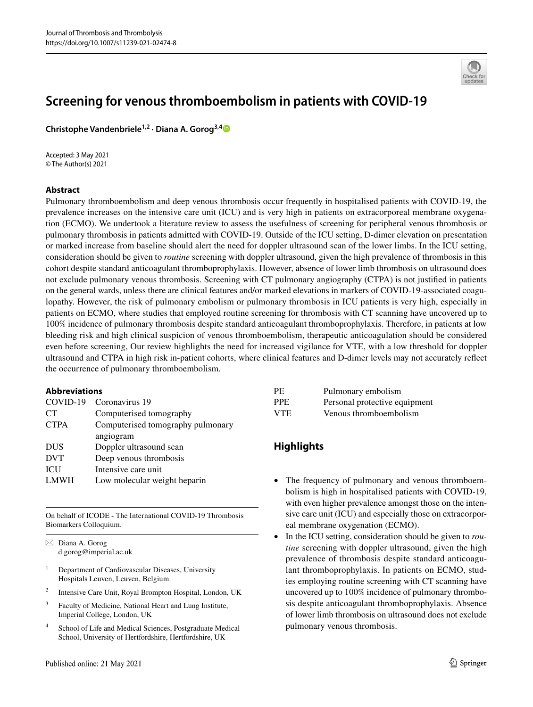

# **Screening for venous thromboembolism in patients with COVID‑19**

**Christophe Vandenbriele1,2 · Diana A. Gorog3,[4](http://orcid.org/0000-0002-9286-1451)**

Accepted: 3 May 2021 © The Author(s) 2021

## **Abstract**

Pulmonary thromboembolism and deep venous thrombosis occur frequently in hospitalised patients with COVID-19, the prevalence increases on the intensive care unit (ICU) and is very high in patients on extracorporeal membrane oxygenation (ECMO). We undertook a literature review to assess the usefulness of screening for peripheral venous thrombosis or pulmonary thrombosis in patients admitted with COVID-19. Outside of the ICU setting, D-dimer elevation on presentation or marked increase from baseline should alert the need for doppler ultrasound scan of the lower limbs. In the ICU setting, consideration should be given to *routine* screening with doppler ultrasound, given the high prevalence of thrombosis in this cohort despite standard anticoagulant thromboprophylaxis. However, absence of lower limb thrombosis on ultrasound does not exclude pulmonary venous thrombosis. Screening with CT pulmonary angiography (CTPA) is not justifed in patients on the general wards, unless there are clinical features and/or marked elevations in markers of COVID-19-associated coagulopathy. However, the risk of pulmonary embolism or pulmonary thrombosis in ICU patients is very high, especially in patients on ECMO, where studies that employed routine screening for thrombosis with CT scanning have uncovered up to 100% incidence of pulmonary thrombosis despite standard anticoagulant thromboprophylaxis. Therefore, in patients at low bleeding risk and high clinical suspicion of venous thromboembolism, therapeutic anticoagulation should be considered even before screening, Our review highlights the need for increased vigilance for VTE, with a low threshold for doppler ultrasound and CTPA in high risk in-patient cohorts, where clinical features and D-dimer levels may not accurately refect the occurrence of pulmonary thromboembolism.

## **Abbreviations**

|             | COVID-19 Coronavirus 19           |
|-------------|-----------------------------------|
| <b>CT</b>   | Computerised tomography           |
| <b>CTPA</b> | Computerised tomography pulmonary |
|             | angiogram                         |
| <b>DUS</b>  | Doppler ultrasound scan           |
| <b>DVT</b>  | Deep venous thrombosis            |
| ICU         | Intensive care unit               |
| <b>LMWH</b> | Low molecular weight heparin      |

On behalf of ICODE - The International COVID-19 Thrombosis Biomarkers Colloquium.

 $\boxtimes$  Diana A. Gorog d.gorog@imperial.ac.uk

- <sup>1</sup> Department of Cardiovascular Diseases, University Hospitals Leuven, Leuven, Belgium
- <sup>2</sup> Intensive Care Unit, Royal Brompton Hospital, London, UK
- <sup>3</sup> Faculty of Medicine, National Heart and Lung Institute, Imperial College, London, UK
- <sup>4</sup> School of Life and Medical Sciences, Postgraduate Medical School, University of Hertfordshire, Hertfordshire, UK

| PE.        | Pulmonary embolism            |
|------------|-------------------------------|
| <b>PPE</b> | Personal protective equipment |
| <b>VTE</b> | Venous thromboembolism        |

## **Highlights**

- The frequency of pulmonary and venous thromboembolism is high in hospitalised patients with COVID-19, with even higher prevalence amongst those on the intensive care unit (ICU) and especially those on extracorporeal membrane oxygenation (ECMO).
- In the ICU setting, consideration should be given to *routine* screening with doppler ultrasound, given the high prevalence of thrombosis despite standard anticoagulant thromboprophylaxis. In patients on ECMO, studies employing routine screening with CT scanning have uncovered up to 100% incidence of pulmonary thrombosis despite anticoagulant thromboprophylaxis. Absence of lower limb thrombosis on ultrasound does not exclude pulmonary venous thrombosis.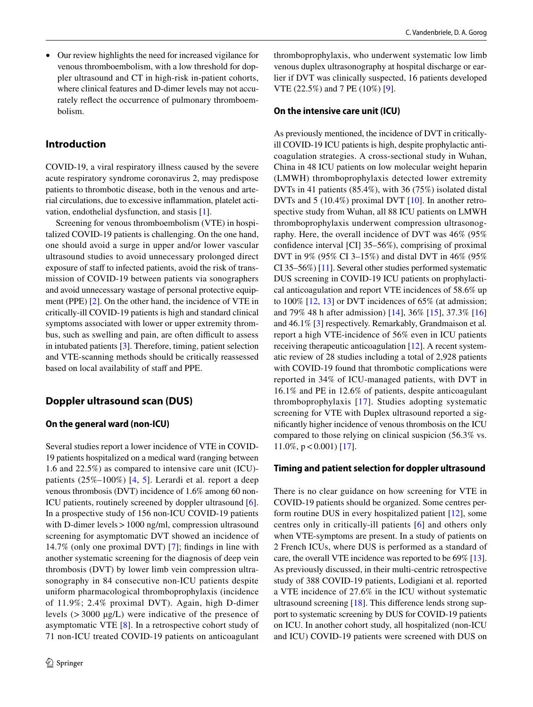• Our review highlights the need for increased vigilance for venous thromboembolism, with a low threshold for doppler ultrasound and CT in high-risk in-patient cohorts, where clinical features and D-dimer levels may not accurately refect the occurrence of pulmonary thromboembolism.

## **Introduction**

COVID-19, a viral respiratory illness caused by the severe acute respiratory syndrome coronavirus 2, may predispose patients to thrombotic disease, both in the venous and arterial circulations, due to excessive infammation, platelet activation, endothelial dysfunction, and stasis [[1\]](#page-4-0).

Screening for venous thromboembolism (VTE) in hospitalized COVID-19 patients is challenging. On the one hand, one should avoid a surge in upper and/or lower vascular ultrasound studies to avoid unnecessary prolonged direct exposure of staff to infected patients, avoid the risk of transmission of COVID-19 between patients via sonographers and avoid unnecessary wastage of personal protective equipment (PPE) [\[2](#page-4-1)]. On the other hand, the incidence of VTE in critically-ill COVID-19 patients is high and standard clinical symptoms associated with lower or upper extremity thrombus, such as swelling and pain, are often difficult to assess in intubated patients [[3\]](#page-5-0). Therefore, timing, patient selection and VTE-scanning methods should be critically reassessed based on local availability of staff and PPE.

## **Doppler ultrasound scan (DUS)**

#### **On the general ward (non‑ICU)**

Several studies report a lower incidence of VTE in COVID-19 patients hospitalized on a medical ward (ranging between 1.6 and 22.5%) as compared to intensive care unit (ICU) patients (25%–100%) [[4](#page-5-1), [5](#page-5-2)]. Lerardi et al*.* report a deep venous thrombosis (DVT) incidence of 1.6% among 60 non-ICU patients, routinely screened by doppler ultrasound [\[6](#page-5-3)]. In a prospective study of 156 non-ICU COVID-19 patients with D-dimer levels > 1000 ng/ml, compression ultrasound screening for asymptomatic DVT showed an incidence of 14.7% (only one proximal DVT) [\[7\]](#page-5-4); fndings in line with another systematic screening for the diagnosis of deep vein thrombosis (DVT) by lower limb vein compression ultrasonography in 84 consecutive non-ICU patients despite uniform pharmacological thromboprophylaxis (incidence of 11.9%; 2.4% proximal DVT). Again, high D-dimer levels (>3000 µg/L) were indicative of the presence of asymptomatic VTE [[8\]](#page-5-5). In a retrospective cohort study of 71 non-ICU treated COVID-19 patients on anticoagulant thromboprophylaxis, who underwent systematic low limb venous duplex ultrasonography at hospital discharge or earlier if DVT was clinically suspected, 16 patients developed VTE (22.5%) and 7 PE (10%) [[9\]](#page-5-6).

#### **On the intensive care unit (ICU)**

As previously mentioned, the incidence of DVT in criticallyill COVID-19 ICU patients is high, despite prophylactic anticoagulation strategies. A cross-sectional study in Wuhan, China in 48 ICU patients on low molecular weight heparin (LMWH) thromboprophylaxis detected lower extremity DVTs in 41 patients (85.4%), with 36 (75%) isolated distal DVTs and 5 (10.4%) proximal DVT [[10\]](#page-5-7). In another retrospective study from Wuhan, all 88 ICU patients on LMWH thromboprophylaxis underwent compression ultrasonography. Here, the overall incidence of DVT was 46% (95% confdence interval [CI] 35–56%), comprising of proximal DVT in 9% (95% CI 3–15%) and distal DVT in 46% (95% CI 35–56%) [\[11\]](#page-5-8). Several other studies performed systematic DUS screening in COVID-19 ICU patients on prophylactical anticoagulation and report VTE incidences of 58.6% up to 100% [\[12](#page-5-9), [13\]](#page-5-10) or DVT incidences of 65% (at admission; and 79% 48 h after admission) [\[14\]](#page-5-11), 36% [\[15](#page-5-12)], 37.3% [[16\]](#page-5-13) and 46.1% [\[3](#page-5-0)] respectively. Remarkably, Grandmaison et al*.* report a high VTE-incidence of 56% even in ICU patients receiving therapeutic anticoagulation [\[12](#page-5-9)]. A recent systematic review of 28 studies including a total of 2,928 patients with COVID-19 found that thrombotic complications were reported in 34% of ICU-managed patients, with DVT in 16.1% and PE in 12.6% of patients, despite anticoagulant thromboprophylaxis [[17](#page-5-14)]. Studies adopting systematic screening for VTE with Duplex ultrasound reported a signifcantly higher incidence of venous thrombosis on the ICU compared to those relying on clinical suspicion (56.3% vs. 11.0%,  $p < 0.001$  [[17\]](#page-5-14).

#### **Timing and patient selection for doppler ultrasound**

There is no clear guidance on how screening for VTE in COVID-19 patients should be organized. Some centres perform routine DUS in every hospitalized patient [\[12](#page-5-9)], some centres only in critically-ill patients [\[6](#page-5-3)] and others only when VTE-symptoms are present. In a study of patients on 2 French ICUs, where DUS is performed as a standard of care, the overall VTE incidence was reported to be 69% [[13](#page-5-10)]. As previously discussed, in their multi-centric retrospective study of 388 COVID-19 patients, Lodigiani et al*.* reported a VTE incidence of 27.6% in the ICU without systematic ultrasound screening [\[18](#page-5-15)]. This diference lends strong support to systematic screening by DUS for COVID-19 patients on ICU. In another cohort study, all hospitalized (non-ICU and ICU) COVID-19 patients were screened with DUS on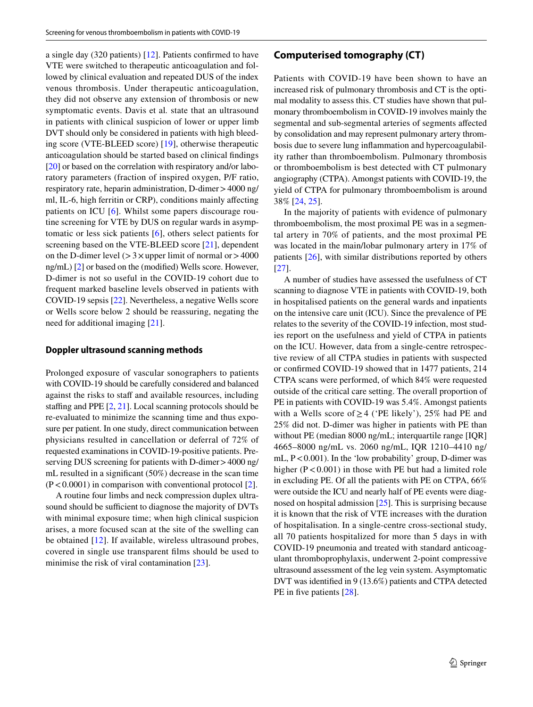a single day (320 patients) [\[12\]](#page-5-9). Patients confrmed to have VTE were switched to therapeutic anticoagulation and followed by clinical evaluation and repeated DUS of the index venous thrombosis. Under therapeutic anticoagulation, they did not observe any extension of thrombosis or new symptomatic events. Davis et al*.* state that an ultrasound in patients with clinical suspicion of lower or upper limb DVT should only be considered in patients with high bleeding score (VTE-BLEED score) [\[19](#page-5-16)], otherwise therapeutic anticoagulation should be started based on clinical fndings [\[20](#page-5-17)] or based on the correlation with respiratory and/or laboratory parameters (fraction of inspired oxygen, P/F ratio, respiratory rate, heparin administration, D-dimer>4000 ng/ ml, IL-6, high ferritin or CRP), conditions mainly afecting patients on ICU [\[6](#page-5-3)]. Whilst some papers discourage routine screening for VTE by DUS on regular wards in asymptomatic or less sick patients [\[6](#page-5-3)], others select patients for screening based on the VTE-BLEED score [\[21](#page-5-18)], dependent on the D-dimer level  $(>3\times$ upper limit of normal or  $>4000$ ng/mL) [\[2](#page-4-1)] or based on the (modifed) Wells score. However, D-dimer is not so useful in the COVID-19 cohort due to frequent marked baseline levels observed in patients with COVID-19 sepsis [\[22\]](#page-5-19). Nevertheless, a negative Wells score or Wells score below 2 should be reassuring, negating the need for additional imaging [\[21](#page-5-18)].

#### **Doppler ultrasound scanning methods**

Prolonged exposure of vascular sonographers to patients with COVID-19 should be carefully considered and balanced against the risks to staff and available resources, including staffing and PPE  $[2, 21]$  $[2, 21]$  $[2, 21]$  $[2, 21]$  $[2, 21]$ . Local scanning protocols should be re-evaluated to minimize the scanning time and thus exposure per patient. In one study, direct communication between physicians resulted in cancellation or deferral of 72% of requested examinations in COVID-19-positive patients. Preserving DUS screening for patients with D-dimer > 4000 ng/ mL resulted in a signifcant (50%) decrease in the scan time  $(P<0.0001)$  in comparison with conventional protocol [\[2](#page-4-1)].

A routine four limbs and neck compression duplex ultrasound should be sufficient to diagnose the majority of DVTs with minimal exposure time; when high clinical suspicion arises, a more focused scan at the site of the swelling can be obtained [\[12\]](#page-5-9). If available, wireless ultrasound probes, covered in single use transparent flms should be used to minimise the risk of viral contamination [\[23](#page-5-20)].

## **Computerised tomography (CT)**

Patients with COVID-19 have been shown to have an increased risk of pulmonary thrombosis and CT is the optimal modality to assess this. CT studies have shown that pulmonary thromboembolism in COVID-19 involves mainly the segmental and sub-segmental arteries of segments afected by consolidation and may represent pulmonary artery thrombosis due to severe lung infammation and hypercoagulability rather than thromboembolism. Pulmonary thrombosis or thromboembolism is best detected with CT pulmonary angiography (CTPA). Amongst patients with COVID-19, the yield of CTPA for pulmonary thromboembolism is around 38% [[24,](#page-5-21) [25\]](#page-5-22).

In the majority of patients with evidence of pulmonary thromboembolism, the most proximal PE was in a segmental artery in 70% of patients, and the most proximal PE was located in the main/lobar pulmonary artery in 17% of patients [\[26](#page-5-23)], with similar distributions reported by others [[27\]](#page-5-24).

A number of studies have assessed the usefulness of CT scanning to diagnose VTE in patients with COVID-19, both in hospitalised patients on the general wards and inpatients on the intensive care unit (ICU). Since the prevalence of PE relates to the severity of the COVID-19 infection, most studies report on the usefulness and yield of CTPA in patients on the ICU. However, data from a single-centre retrospective review of all CTPA studies in patients with suspected or confrmed COVID-19 showed that in 1477 patients, 214 CTPA scans were performed, of which 84% were requested outside of the critical care setting. The overall proportion of PE in patients with COVID-19 was 5.4%. Amongst patients with a Wells score of  $\geq$  4 ('PE likely'), 25% had PE and 25% did not. D-dimer was higher in patients with PE than without PE (median 8000 ng/mL; interquartile range [IQR] 4665–8000 ng/mL vs. 2060 ng/mL, IQR 1210–4410 ng/ mL,  $P < 0.001$ ). In the 'low probability' group, D-dimer was higher  $(P < 0.001)$  in those with PE but had a limited role in excluding PE. Of all the patients with PE on CTPA, 66% were outside the ICU and nearly half of PE events were diagnosed on hospital admission [[25](#page-5-22)]. This is surprising because it is known that the risk of VTE increases with the duration of hospitalisation. In a single-centre cross-sectional study, all 70 patients hospitalized for more than 5 days in with COVID-19 pneumonia and treated with standard anticoagulant thromboprophylaxis, underwent 2-point compressive ultrasound assessment of the leg vein system. Asymptomatic DVT was identifed in 9 (13.6%) patients and CTPA detected PE in five patients [\[28](#page-5-25)].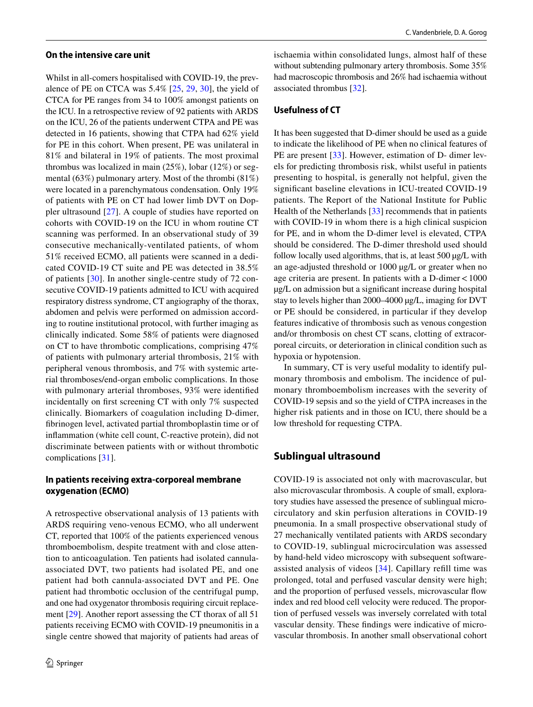#### **On the intensive care unit**

Whilst in all-comers hospitalised with COVID-19, the prevalence of PE on CTCA was 5.4% [[25,](#page-5-22) [29](#page-5-26), [30\]](#page-5-27), the yield of CTCA for PE ranges from 34 to 100% amongst patients on the ICU. In a retrospective review of 92 patients with ARDS on the ICU, 26 of the patients underwent CTPA and PE was detected in 16 patients, showing that CTPA had 62% yield for PE in this cohort. When present, PE was unilateral in 81% and bilateral in 19% of patients. The most proximal thrombus was localized in main (25%), lobar (12%) or segmental (63%) pulmonary artery. Most of the thrombi (81%) were located in a parenchymatous condensation. Only 19% of patients with PE on CT had lower limb DVT on Doppler ultrasound [[27](#page-5-24)]. A couple of studies have reported on cohorts with COVID-19 on the ICU in whom routine CT scanning was performed. In an observational study of 39 consecutive mechanically-ventilated patients, of whom 51% received ECMO, all patients were scanned in a dedicated COVID-19 CT suite and PE was detected in 38.5% of patients [[30](#page-5-27)]. In another single-centre study of 72 consecutive COVID-19 patients admitted to ICU with acquired respiratory distress syndrome, CT angiography of the thorax, abdomen and pelvis were performed on admission according to routine institutional protocol, with further imaging as clinically indicated. Some 58% of patients were diagnosed on CT to have thrombotic complications, comprising 47% of patients with pulmonary arterial thrombosis, 21% with peripheral venous thrombosis, and 7% with systemic arterial thromboses/end-organ embolic complications. In those with pulmonary arterial thromboses, 93% were identifed incidentally on frst screening CT with only 7% suspected clinically. Biomarkers of coagulation including D-dimer, fbrinogen level, activated partial thromboplastin time or of infammation (white cell count, C-reactive protein), did not discriminate between patients with or without thrombotic complications [[31\]](#page-5-28).

### **In patients receiving extra‑corporeal membrane oxygenation (ECMO)**

A retrospective observational analysis of 13 patients with ARDS requiring veno-venous ECMO, who all underwent CT, reported that 100% of the patients experienced venous thromboembolism, despite treatment with and close attention to anticoagulation. Ten patients had isolated cannulaassociated DVT, two patients had isolated PE, and one patient had both cannula-associated DVT and PE. One patient had thrombotic occlusion of the centrifugal pump, and one had oxygenator thrombosis requiring circuit replacement [[29](#page-5-26)]. Another report assessing the CT thorax of all 51 patients receiving ECMO with COVID-19 pneumonitis in a single centre showed that majority of patients had areas of ischaemia within consolidated lungs, almost half of these without subtending pulmonary artery thrombosis. Some 35% had macroscopic thrombosis and 26% had ischaemia without associated thrombus [\[32](#page-5-29)].

#### **Usefulness of CT**

It has been suggested that D-dimer should be used as a guide to indicate the likelihood of PE when no clinical features of PE are present [[33\]](#page-5-30). However, estimation of D- dimer levels for predicting thrombosis risk, whilst useful in patients presenting to hospital, is generally not helpful, given the signifcant baseline elevations in ICU-treated COVID-19 patients. The Report of the National Institute for Public Health of the Netherlands [\[33](#page-5-30)] recommends that in patients with COVID-19 in whom there is a high clinical suspicion for PE, and in whom the D-dimer level is elevated, CTPA should be considered. The D-dimer threshold used should follow locally used algorithms, that is, at least 500 µg/L with an age-adjusted threshold or 1000 µg/L or greater when no age criteria are present. In patients with a D-dimer<1000 µg/L on admission but a signifcant increase during hospital stay to levels higher than 2000–4000 µg/L, imaging for DVT or PE should be considered, in particular if they develop features indicative of thrombosis such as venous congestion and/or thrombosis on chest CT scans, clotting of extracorporeal circuits, or deterioration in clinical condition such as hypoxia or hypotension.

In summary, CT is very useful modality to identify pulmonary thrombosis and embolism. The incidence of pulmonary thromboembolism increases with the severity of COVID-19 sepsis and so the yield of CTPA increases in the higher risk patients and in those on ICU, there should be a low threshold for requesting CTPA.

## **Sublingual ultrasound**

COVID-19 is associated not only with macrovascular, but also microvascular thrombosis. A couple of small, exploratory studies have assessed the presence of sublingual microcirculatory and skin perfusion alterations in COVID-19 pneumonia. In a small prospective observational study of 27 mechanically ventilated patients with ARDS secondary to COVID-19, sublingual microcirculation was assessed by hand-held video microscopy with subsequent softwareassisted analysis of videos [[34](#page-6-0)]. Capillary refll time was prolonged, total and perfused vascular density were high; and the proportion of perfused vessels, microvascular flow index and red blood cell velocity were reduced. The proportion of perfused vessels was inversely correlated with total vascular density. These fndings were indicative of microvascular thrombosis. In another small observational cohort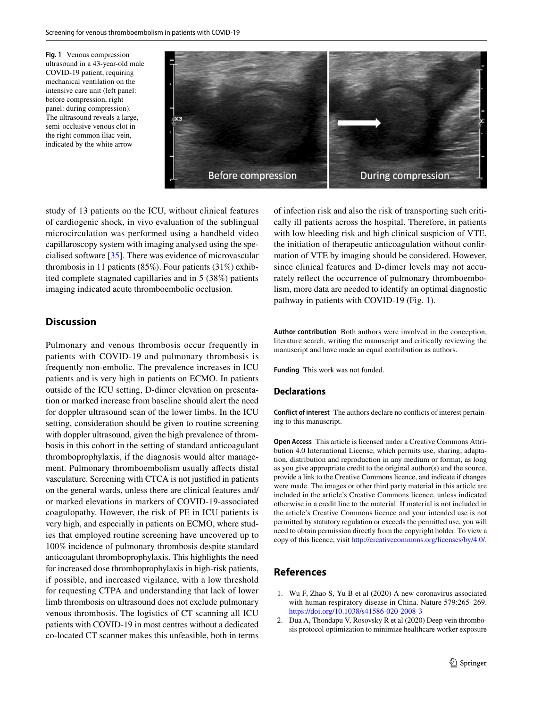<span id="page-4-2"></span>**Fig. 1** Venous compression ultrasound in a 43-year-old male COVID-19 patient, requiring mechanical ventilation on the intensive care unit (left panel: before compression, right panel: during compression). The ultrasound reveals a large, semi-occlusive venous clot in the right common iliac vein, indicated by the white arrow



study of 13 patients on the ICU, without clinical features of cardiogenic shock, in vivo evaluation of the sublingual microcirculation was performed using a handheld video capillaroscopy system with imaging analysed using the specialised software [[35\]](#page-6-1). There was evidence of microvascular thrombosis in 11 patients (85%). Four patients (31%) exhibited complete stagnated capillaries and in 5 (38%) patients imaging indicated acute thromboembolic occlusion.

## **Discussion**

Pulmonary and venous thrombosis occur frequently in patients with COVID-19 and pulmonary thrombosis is frequently non-embolic. The prevalence increases in ICU patients and is very high in patients on ECMO. In patients outside of the ICU setting, D-dimer elevation on presentation or marked increase from baseline should alert the need for doppler ultrasound scan of the lower limbs. In the ICU setting, consideration should be given to routine screening with doppler ultrasound, given the high prevalence of thrombosis in this cohort in the setting of standard anticoagulant thromboprophylaxis, if the diagnosis would alter management. Pulmonary thromboembolism usually afects distal vasculature. Screening with CTCA is not justifed in patients on the general wards, unless there are clinical features and/ or marked elevations in markers of COVID-19-associated coagulopathy. However, the risk of PE in ICU patients is very high, and especially in patients on ECMO, where studies that employed routine screening have uncovered up to 100% incidence of pulmonary thrombosis despite standard anticoagulant thromboprophylaxis. This highlights the need for increased dose thromboprophylaxis in high-risk patients, if possible, and increased vigilance, with a low threshold for requesting CTPA and understanding that lack of lower limb thrombosis on ultrasound does not exclude pulmonary venous thrombosis. The logistics of CT scanning all ICU patients with COVID-19 in most centres without a dedicated co-located CT scanner makes this unfeasible, both in terms of infection risk and also the risk of transporting such critically ill patients across the hospital. Therefore, in patients with low bleeding risk and high clinical suspicion of VTE, the initiation of therapeutic anticoagulation without confrmation of VTE by imaging should be considered. However, since clinical features and D-dimer levels may not accurately refect the occurrence of pulmonary thromboembolism, more data are needed to identify an optimal diagnostic pathway in patients with COVID-19 (Fig. [1](#page-4-2)).

**Author contribution** Both authors were involved in the conception, literature search, writing the manuscript and critically reviewing the manuscript and have made an equal contribution as authors.

**Funding** This work was not funded.

#### **Declarations**

**Conflict of interest** The authors declare no conficts of interest pertaining to this manuscript.

**Open Access** This article is licensed under a Creative Commons Attribution 4.0 International License, which permits use, sharing, adaptation, distribution and reproduction in any medium or format, as long as you give appropriate credit to the original author(s) and the source, provide a link to the Creative Commons licence, and indicate if changes were made. The images or other third party material in this article are included in the article's Creative Commons licence, unless indicated otherwise in a credit line to the material. If material is not included in the article's Creative Commons licence and your intended use is not permitted by statutory regulation or exceeds the permitted use, you will need to obtain permission directly from the copyright holder. To view a copy of this licence, visit<http://creativecommons.org/licenses/by/4.0/>.

## **References**

- <span id="page-4-0"></span>1. Wu F, Zhao S, Yu B et al (2020) A new coronavirus associated with human respiratory disease in China. Nature 579:265–269. <https://doi.org/10.1038/s41586-020-2008-3>
- <span id="page-4-1"></span>2. Dua A, Thondapu V, Rosovsky R et al (2020) Deep vein thrombosis protocol optimization to minimize healthcare worker exposure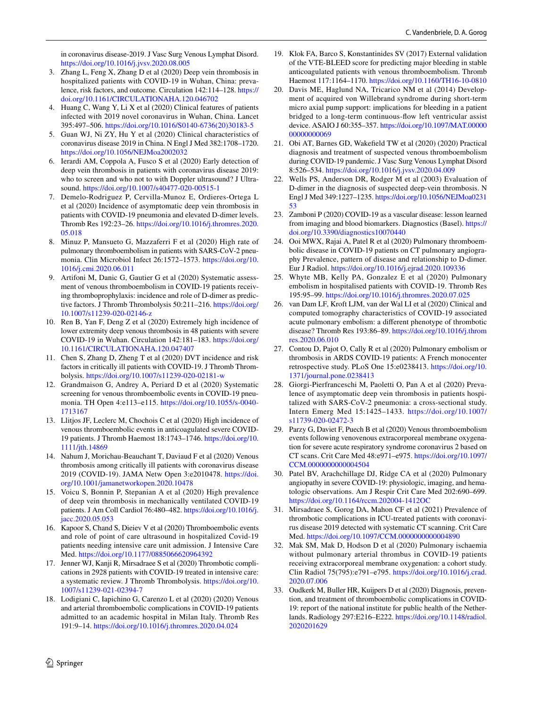in coronavirus disease-2019. J Vasc Surg Venous Lymphat Disord. <https://doi.org/10.1016/j.jvsv.2020.08.005>

- <span id="page-5-0"></span>3. Zhang L, Feng X, Zhang D et al (2020) Deep vein thrombosis in hospitalized patients with COVID-19 in Wuhan, China: prevalence, risk factors, and outcome. Circulation 142:114–128. [https://](https://doi.org/10.1161/CIRCULATIONAHA.120.046702) [doi.org/10.1161/CIRCULATIONAHA.120.046702](https://doi.org/10.1161/CIRCULATIONAHA.120.046702)
- <span id="page-5-1"></span>4. Huang C, Wang Y, Li X et al (2020) Clinical features of patients infected with 2019 novel coronavirus in Wuhan, China. Lancet 395:497–506. [https://doi.org/10.1016/S0140-6736\(20\)30183-5](https://doi.org/10.1016/S0140-6736(20)30183-5)
- <span id="page-5-2"></span>5. Guan WJ, Ni ZY, Hu Y et al (2020) Clinical characteristics of coronavirus disease 2019 in China. N Engl J Med 382:1708–1720. <https://doi.org/10.1056/NEJMoa2002032>
- <span id="page-5-3"></span>6. Ierardi AM, Coppola A, Fusco S et al (2020) Early detection of deep vein thrombosis in patients with coronavirus disease 2019: who to screen and who not to with Doppler ultrasound? J Ultrasound. <https://doi.org/10.1007/s40477-020-00515-1>
- <span id="page-5-4"></span>7. Demelo-Rodriguez P, Cervilla-Munoz E, Ordieres-Ortega L et al (2020) Incidence of asymptomatic deep vein thrombosis in patients with COVID-19 pneumonia and elevated D-dimer levels. Thromb Res 192:23–26. [https://doi.org/10.1016/j.thromres.2020.](https://doi.org/10.1016/j.thromres.2020.05.018) [05.018](https://doi.org/10.1016/j.thromres.2020.05.018)
- <span id="page-5-5"></span>8. Minuz P, Mansueto G, Mazzaferri F et al (2020) High rate of pulmonary thromboembolism in patients with SARS-CoV-2 pneumonia. Clin Microbiol Infect 26:1572–1573. [https://doi.org/10.](https://doi.org/10.1016/j.cmi.2020.06.011) [1016/j.cmi.2020.06.011](https://doi.org/10.1016/j.cmi.2020.06.011)
- <span id="page-5-6"></span>9. Artifoni M, Danic G, Gautier G et al (2020) Systematic assessment of venous thromboembolism in COVID-19 patients receiving thromboprophylaxis: incidence and role of D-dimer as predictive factors. J Thromb Thrombolysis 50:211-216. [https://doi.org/](https://doi.org/10.1007/s11239-020-02146-z) [10.1007/s11239-020-02146-z](https://doi.org/10.1007/s11239-020-02146-z)
- <span id="page-5-7"></span>10. Ren B, Yan F, Deng Z et al (2020) Extremely high incidence of lower extremity deep venous thrombosis in 48 patients with severe COVID-19 in Wuhan. Circulation 142:181–183. [https://doi.org/](https://doi.org/10.1161/CIRCULATIONAHA.120.047407) [10.1161/CIRCULATIONAHA.120.047407](https://doi.org/10.1161/CIRCULATIONAHA.120.047407)
- <span id="page-5-8"></span>11. Chen S, Zhang D, Zheng T et al (2020) DVT incidence and risk factors in critically ill patients with COVID-19. J Thromb Thrombolysis.<https://doi.org/10.1007/s11239-020-02181-w>
- <span id="page-5-9"></span>12. Grandmaison G, Andrey A, Periard D et al (2020) Systematic screening for venous thromboembolic events in COVID-19 pneumonia. TH Open 4:e113–e115. [https://doi.org/10.1055/s-0040-](https://doi.org/10.1055/s-0040-1713167) [1713167](https://doi.org/10.1055/s-0040-1713167)
- <span id="page-5-10"></span>13. Llitjos JF, Leclerc M, Chochois C et al (2020) High incidence of venous thromboembolic events in anticoagulated severe COVID-19 patients. J Thromb Haemost 18:1743–1746. [https://doi.org/10.](https://doi.org/10.1111/jth.14869) [1111/jth.14869](https://doi.org/10.1111/jth.14869)
- <span id="page-5-11"></span>14. Nahum J, Morichau-Beauchant T, Daviaud F et al (2020) Venous thrombosis among critically ill patients with coronavirus disease 2019 (COVID-19). JAMA Netw Open 3:e2010478. [https://doi.](https://doi.org/10.1001/jamanetworkopen.2020.10478) [org/10.1001/jamanetworkopen.2020.10478](https://doi.org/10.1001/jamanetworkopen.2020.10478)
- <span id="page-5-12"></span>15. Voicu S, Bonnin P, Stepanian A et al (2020) High prevalence of deep vein thrombosis in mechanically ventilated COVID-19 patients. J Am Coll Cardiol 76:480–482. [https://doi.org/10.1016/j.](https://doi.org/10.1016/j.jacc.2020.05.053) [jacc.2020.05.053](https://doi.org/10.1016/j.jacc.2020.05.053)
- <span id="page-5-13"></span>16. Kapoor S, Chand S, Dieiev V et al (2020) Thromboembolic events and role of point of care ultrasound in hospitalized Covid-19 patients needing intensive care unit admission. J Intensive Care Med.<https://doi.org/10.1177/0885066620964392>
- <span id="page-5-14"></span>17. Jenner WJ, Kanji R, Mirsadraee S et al (2020) Thrombotic complications in 2928 patients with COVID-19 treated in intensive care: a systematic review. J Thromb Thrombolysis. [https://doi.org/10.](https://doi.org/10.1007/s11239-021-02394-7) [1007/s11239-021-02394-7](https://doi.org/10.1007/s11239-021-02394-7)
- <span id="page-5-15"></span>18. Lodigiani C, Iapichino G, Carenzo L et al (2020) (2020) Venous and arterial thromboembolic complications in COVID-19 patients admitted to an academic hospital in Milan Italy. Thromb Res 191:9–14. <https://doi.org/10.1016/j.thromres.2020.04.024>
- <span id="page-5-16"></span>19. Klok FA, Barco S, Konstantinides SV (2017) External validation of the VTE-BLEED score for predicting major bleeding in stable anticoagulated patients with venous thromboembolism. Thromb Haemost 117:1164–1170. <https://doi.org/10.1160/TH16-10-0810>
- <span id="page-5-17"></span>20. Davis ME, Haglund NA, Tricarico NM et al (2014) Development of acquired von Willebrand syndrome during short-term micro axial pump support: implications for bleeding in a patient bridged to a long-term continuous-fow left ventricular assist device. ASAIO J 60:355–357. [https://doi.org/10.1097/MAT.00000](https://doi.org/10.1097/MAT.0000000000000069) [00000000069](https://doi.org/10.1097/MAT.0000000000000069)
- <span id="page-5-18"></span>21. Obi AT, Barnes GD, Wakefeld TW et al (2020) (2020) Practical diagnosis and treatment of suspected venous thromboembolism during COVID-19 pandemic. J Vasc Surg Venous Lymphat Disord 8:526–534.<https://doi.org/10.1016/j.jvsv.2020.04.009>
- <span id="page-5-19"></span>22. Wells PS, Anderson DR, Rodger M et al (2003) Evaluation of D-dimer in the diagnosis of suspected deep-vein thrombosis. N Engl J Med 349:1227–1235. [https://doi.org/10.1056/NEJMoa0231](https://doi.org/10.1056/NEJMoa023153) [53](https://doi.org/10.1056/NEJMoa023153)
- <span id="page-5-20"></span>23. Zamboni P (2020) COVID-19 as a vascular disease: lesson learned from imaging and blood biomarkers. Diagnostics (Basel). [https://](https://doi.org/10.3390/diagnostics10070440) [doi.org/10.3390/diagnostics10070440](https://doi.org/10.3390/diagnostics10070440)
- <span id="page-5-21"></span>24. Ooi MWX, Rajai A, Patel R et al (2020) Pulmonary thromboembolic disease in COVID-19 patients on CT pulmonary angiography Prevalence, pattern of disease and relationship to D-dimer. Eur J Radiol.<https://doi.org/10.1016/j.ejrad.2020.109336>
- <span id="page-5-22"></span>25. Whyte MB, Kelly PA, Gonzalez E et al (2020) Pulmonary embolism in hospitalised patients with COVID-19. Thromb Res 195:95–99.<https://doi.org/10.1016/j.thromres.2020.07.025>
- <span id="page-5-23"></span>26. van Dam LF, Kroft LJM, van der Wal LI et al (2020) Clinical and computed tomography characteristics of COVID-19 associated acute pulmonary embolism: a diferent phenotype of thrombotic disease? Thromb Res 193:86–89. [https://doi.org/10.1016/j.throm](https://doi.org/10.1016/j.thromres.2020.06.010) [res.2020.06.010](https://doi.org/10.1016/j.thromres.2020.06.010)
- <span id="page-5-24"></span>27. Contou D, Pajot O, Cally R et al (2020) Pulmonary embolism or thrombosis in ARDS COVID-19 patients: A French monocenter retrospective study. PLoS One 15:e0238413. [https://doi.org/10.](https://doi.org/10.1371/journal.pone.0238413) [1371/journal.pone.0238413](https://doi.org/10.1371/journal.pone.0238413)
- <span id="page-5-25"></span>28. Giorgi-Pierfranceschi M, Paoletti O, Pan A et al (2020) Prevalence of asymptomatic deep vein thrombosis in patients hospitalized with SARS-CoV-2 pneumonia: a cross-sectional study. Intern Emerg Med 15:1425–1433. [https://doi.org/10.1007/](https://doi.org/10.1007/s11739-020-02472-3) [s11739-020-02472-3](https://doi.org/10.1007/s11739-020-02472-3)
- <span id="page-5-26"></span>29. Parzy G, Daviet F, Puech B et al (2020) Venous thromboembolism events following venovenous extracorporeal membrane oxygenation for severe acute respiratory syndrome coronavirus 2 based on CT scans. Crit Care Med 48:e971–e975. [https://doi.org/10.1097/](https://doi.org/10.1097/CCM.0000000000004504) [CCM.0000000000004504](https://doi.org/10.1097/CCM.0000000000004504)
- <span id="page-5-27"></span>30. Patel BV, Arachchillage DJ, Ridge CA et al (2020) Pulmonary angiopathy in severe COVID-19: physiologic, imaging, and hematologic observations. Am J Respir Crit Care Med 202:690–699. <https://doi.org/10.1164/rccm.202004-1412OC>
- <span id="page-5-28"></span>31. Mirsadraee S, Gorog DA, Mahon CF et al (2021) Prevalence of thrombotic complications in ICU-treated patients with coronavirus disease 2019 detected with systematic CT scanning. Crit Care Med.<https://doi.org/10.1097/CCM.0000000000004890>
- <span id="page-5-29"></span>32. Mak SM, Mak D, Hodson D et al (2020) Pulmonary ischaemia without pulmonary arterial thrombus in COVID-19 patients receiving extracorporeal membrane oxygenation: a cohort study. Clin Radiol 75(795):e791–e795. [https://doi.org/10.1016/j.crad.](https://doi.org/10.1016/j.crad.2020.07.006) [2020.07.006](https://doi.org/10.1016/j.crad.2020.07.006)
- <span id="page-5-30"></span>33. Oudkerk M, Buller HR, Kuijpers D et al (2020) Diagnosis, prevention, and treatment of thromboembolic complications in COVID-19: report of the national institute for public health of the Netherlands. Radiology 297:E216–E222. [https://doi.org/10.1148/radiol.](https://doi.org/10.1148/radiol.2020201629) [2020201629](https://doi.org/10.1148/radiol.2020201629)